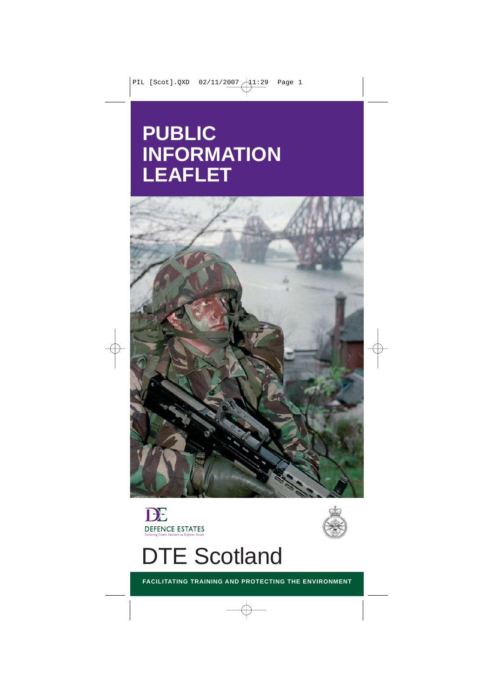# **PUBLIC INFORMATION LEAFLET**





# DTE Scotland

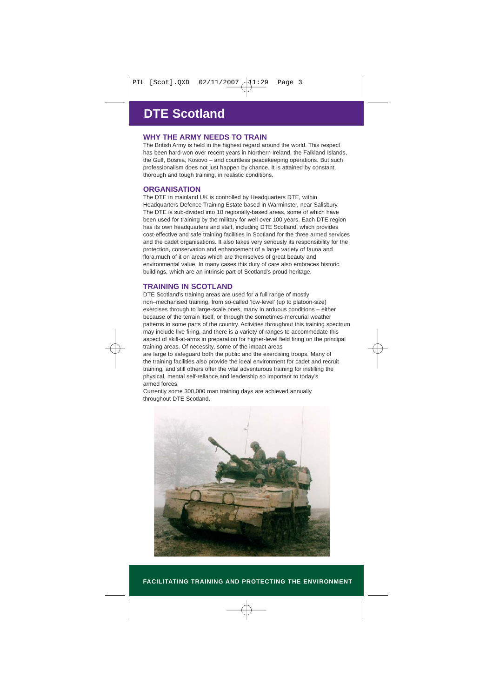# **DTE Scotland**

# **WHY THE ARMY NEEDS TO TRAIN**

The British Army is held in the highest regard around the world. This respect has been hard-won over recent years in Northern Ireland, the Falkland Islands, the Gulf, Bosnia, Kosovo – and countless peacekeeping operations. But such professionalism does not just happen by chance. It is attained by constant, thorough and tough training, in realistic conditions.

#### **ORGANISATION**

The DTE in mainland UK is controlled by Headquarters DTE, within Headquarters Defence Training Estate based in Warminster, near Salisbury. The DTE is sub-divided into 10 regionally-based areas, some of which have been used for training by the military for well over 100 years. Each DTE region has its own headquarters and staff, including DTE Scotland, which provides cost-effective and safe training facilities in Scotland for the three armed services and the cadet organisations. It also takes very seriously its responsibility for the protection, conservation and enhancement of a large variety of fauna and flora,much of it on areas which are themselves of great beauty and environmental value. In many cases this duty of care also embraces historic buildings, which are an intrinsic part of Scotland's proud heritage.

### **TRAINING IN SCOTLAND**

DTE Scotland's training areas are used for a full range of mostly non–mechanised training, from so-called 'low-level' (up to platoon-size) exercises through to large-scale ones, many in arduous conditions – either because of the terrain itself, or through the sometimes-mercurial weather patterns in some parts of the country. Activities throughout this training spectrum may include live firing, and there is a variety of ranges to accommodate this aspect of skill-at-arms in preparation for higher-level field firing on the principal training areas. Of necessity, some of the impact areas

are large to safeguard both the public and the exercising troops. Many of the training facilities also provide the ideal environment for cadet and recruit training, and still others offer the vital adventurous training for instilling the physical, mental self-reliance and leadership so important to today's armed forces.

Currently some 300,000 man training days are achieved annually throughout DTE Scotland.

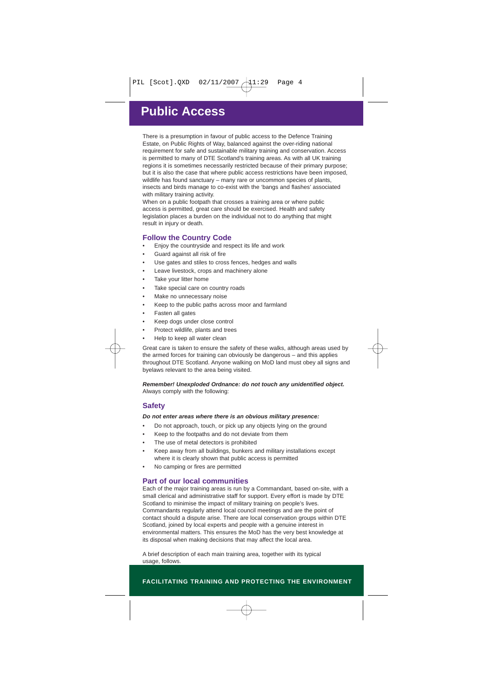# **Public Access**

There is a presumption in favour of public access to the Defence Training Estate, on Public Rights of Way, balanced against the over-riding national requirement for safe and sustainable military training and conservation. Access is permitted to many of DTE Scotland's training areas. As with all UK training regions it is sometimes necessarily restricted because of their primary purpose; but it is also the case that where public access restrictions have been imposed, wildlife has found sanctuary – many rare or uncommon species of plants, insects and birds manage to co-exist with the 'bangs and flashes' associated with military training activity.

When on a public footpath that crosses a training area or where public access is permitted, great care should be exercised. Health and safety legislation places a burden on the individual not to do anything that might result in injury or death.

#### **Follow the Country Code**

- Enjoy the countryside and respect its life and work
- Guard against all risk of fire
- Use gates and stiles to cross fences, hedges and walls
- Leave livestock, crops and machinery alone
- Take your litter home
- Take special care on country roads
- Make no unnecessary noise
- Keep to the public paths across moor and farmland
- Fasten all gates
- Keep dogs under close control
- Protect wildlife, plants and trees
- Help to keep all water clean

Great care is taken to ensure the safety of these walks, although areas used by the armed forces for training can obviously be dangerous – and this applies throughout DTE Scotland. Anyone walking on MoD land must obey all signs and byelaws relevant to the area being visited.

*Remember! Unexploded Ordnance: do not touch any unidentified object.* Always comply with the following:

### **Safety**

#### *Do not enter areas where there is an obvious military presence:*

- Do not approach, touch, or pick up any objects lying on the ground
- Keep to the footpaths and do not deviate from them
- The use of metal detectors is prohibited
- Keep away from all buildings, bunkers and military installations except where it is clearly shown that public access is permitted
- No camping or fires are permitted

#### **Part of our local communities**

Each of the major training areas is run by a Commandant, based on-site, with a small clerical and administrative staff for support. Every effort is made by DTE Scotland to minimise the impact of military training on people's lives. Commandants regularly attend local council meetings and are the point of contact should a dispute arise. There are local conservation groups within DTE Scotland, joined by local experts and people with a genuine interest in environmental matters. This ensures the MoD has the very best knowledge at its disposal when making decisions that may affect the local area.

A brief description of each main training area, together with its typical usage, follows.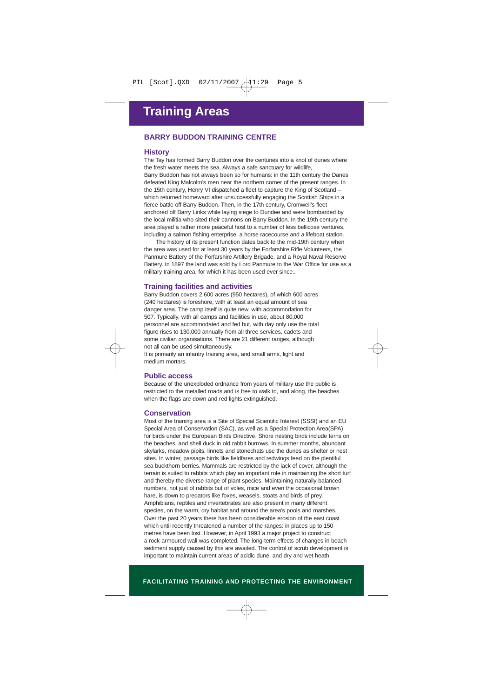### **BARRY BUDDON TRAINING CENTRE**

#### **History**

The Tay has formed Barry Buddon over the centuries into a knot of dunes where the fresh water meets the sea. Always a safe sanctuary for wildlife,

Barry Buddon has not always been so for humans: in the 11th century the Danes defeated King Malcolm's men near the northern corner of the present ranges. In the 15th century, Henry VI dispatched a fleet to capture the King of Scotland – which returned homeward after unsuccessfully engaging the Scottish Ships in a fierce battle off Barry Buddon. Then, in the 17th century, Cromwell's fleet anchored off Barry Links while laying siege to Dundee and were bombarded by the local militia who sited their cannons on Barry Buddon. In the 19th century the area played a rather more peaceful host to a number of less bellicose ventures, including a salmon fishing enterprise, a horse racecourse and a lifeboat station.

The history of its present function dates back to the mid-19th century when the area was used for at least 30 years by the Forfarshire Rifle Volunteers, the Panmure Battery of the Forfarshire Artillery Brigade, and a Royal Naval Reserve Battery. In 1897 the land was sold by Lord Panmure to the War Office for use as a military training area, for which it has been used ever since..

#### **Training facilities and activities**

Barry Buddon covers 2,600 acres (950 hectares), of which 600 acres (240 hectares) is foreshore, with at least an equal amount of sea danger area. The camp itself is quite new, with accommodation for 507. Typically, with all camps and facilities in use, about 80,000 personnel are accommodated and fed but, with day only use the total figure rises to 130,000 annually from all three services, cadets and some civilian organisations. There are 21 different ranges, although not all can be used simultaneously.

It is primarily an infantry training area, and small arms, light and medium mortars.

#### **Public access**

Because of the unexploded ordnance from years of military use the public is restricted to the metalled roads and is free to walk to, and along, the beaches when the flags are down and red lights extinguished.

#### **Conservation**

Most of the training area is a Site of Special Scientific Interest (SSSI) and an EU Special Area of Conservation (SAC), as well as a Special Protection Area(SPA) for birds under the European Birds Directive. Shore nesting birds include terns on the beaches, and shell duck in old rabbit burrows. In summer months, abundant skylarks, meadow pipits, linnets and stonechats use the dunes as shelter or nest sites. In winter, passage birds like fieldfares and redwings feed on the plentiful sea buckthorn berries. Mammals are restricted by the lack of cover, although the terrain is suited to rabbits which play an important role in maintaining the short turf and thereby the diverse range of plant species. Maintaining naturally-balanced numbers, not just of rabbits but of voles, mice and even the occasional brown hare, is down to predators like foxes, weasels, stoats and birds of prey. Amphibians, reptiles and invertebrates are also present in many different species, on the warm, dry habitat and around the area's pools and marshes. Over the past 20 years there has been considerable erosion of the east coast which until recently threatened a number of the ranges: in places up to 150 metres have been lost. However, in April 1993 a major project to construct a rock-armoured wall was completed. The long-term effects of changes in beach sediment supply caused by this are awaited. The control of scrub development is important to maintain current areas of acidic dune, and dry and wet heath.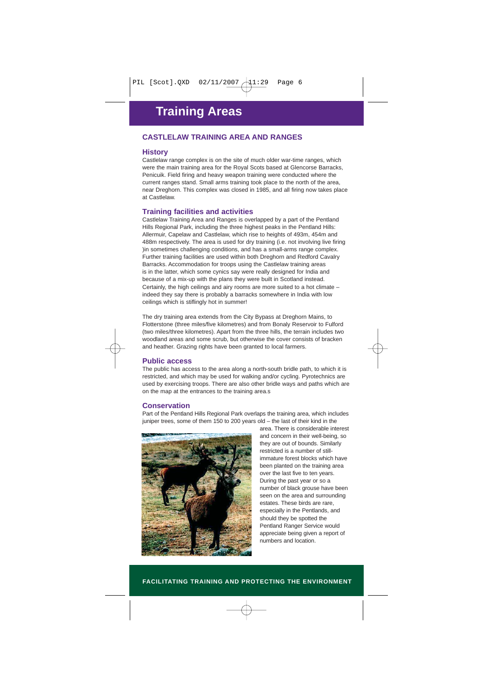## **CASTLELAW TRAINING AREA AND RANGES**

#### **History**

Castlelaw range complex is on the site of much older war-time ranges, which were the main training area for the Royal Scots based at Glencorse Barracks, Penicuik. Field firing and heavy weapon training were conducted where the current ranges stand. Small arms training took place to the north of the area, near Dreghorn. This complex was closed in 1985, and all firing now takes place at Castlelaw.

#### **Training facilities and activities**

Castlelaw Training Area and Ranges is overlapped by a part of the Pentland Hills Regional Park, including the three highest peaks in the Pentland Hills: Allermuir, Capelaw and Castlelaw, which rise to heights of 493m, 454m and 488m respectively. The area is used for dry training (i.e. not involving live firing )in sometimes challenging conditions, and has a small-arms range complex. Further training facilities are used within both Dreghorn and Redford Cavalry Barracks. Accommodation for troops using the Castlelaw training areas is in the latter, which some cynics say were really designed for India and because of a mix-up with the plans they were built in Scotland instead. Certainly, the high ceilings and airy rooms are more suited to a hot climate – indeed they say there is probably a barracks somewhere in India with low ceilings which is stiflingly hot in summer!

The dry training area extends from the City Bypass at Dreghorn Mains, to Flotterstone (three miles/five kilometres) and from Bonaly Reservoir to Fulford (two miles/three kilometres). Apart from the three hills, the terrain includes two woodland areas and some scrub, but otherwise the cover consists of bracken and heather. Grazing rights have been granted to local farmers.

#### **Public access**

The public has access to the area along a north-south bridle path, to which it is restricted, and which may be used for walking and/or cycling. Pyrotechnics are used by exercising troops. There are also other bridle ways and paths which are on the map at the entrances to the training area.s

#### **Conservation**

Part of the Pentland Hills Regional Park overlaps the training area, which includes juniper trees, some of them 150 to 200 years old – the last of their kind in the



area. There is considerable interest and concern in their well-being, so they are out of bounds. Similarly restricted is a number of stillimmature forest blocks which have been planted on the training area over the last five to ten years. During the past year or so a number of black grouse have been seen on the area and surrounding estates. These birds are rare, especially in the Pentlands, and should they be spotted the Pentland Ranger Service would appreciate being given a report of numbers and location.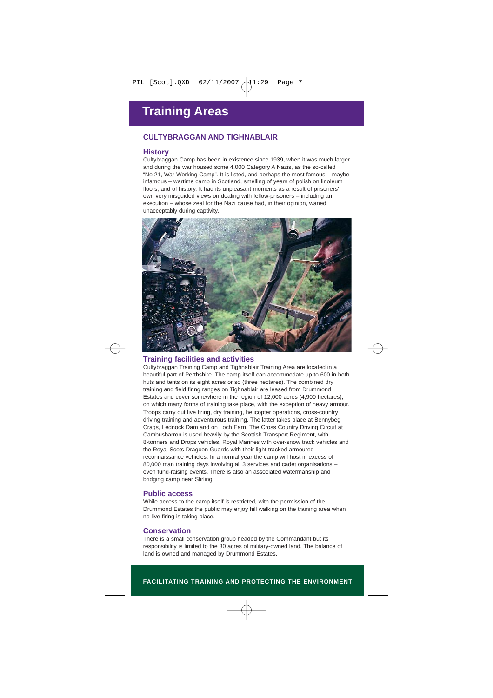### **CULTYBRAGGAN AND TIGHNABLAIR**

#### **History**

Cultybraggan Camp has been in existence since 1939, when it was much larger and during the war housed some 4,000 Category A Nazis, as the so-called "No 21, War Working Camp". It is listed, and perhaps the most famous – maybe infamous – wartime camp in Scotland, smelling of years of polish on linoleum floors, and of history. It had its unpleasant moments as a result of prisoners' own very misguided views on dealing with fellow-prisoners – including an execution – whose zeal for the Nazi cause had, in their opinion, waned unacceptably during captivity.



#### **Training facilities and activities**

Cultybraggan Training Camp and Tighnablair Training Area are located in a beautiful part of Perthshire. The camp itself can accommodate up to 600 in both huts and tents on its eight acres or so (three hectares). The combined dry training and field firing ranges on Tighnablair are leased from Drummond Estates and cover somewhere in the region of 12,000 acres (4,900 hectares), on which many forms of training take place, with the exception of heavy armour. Troops carry out live firing, dry training, helicopter operations, cross-country driving training and adventurous training. The latter takes place at Bennybeg Crags, Lednock Dam and on Loch Earn. The Cross Country Driving Circuit at Cambusbarron is used heavily by the Scottish Transport Regiment, with 8-tonners and Drops vehicles, Royal Marines with over-snow track vehicles and the Royal Scots Dragoon Guards with their light tracked armoured reconnaissance vehicles. In a normal year the camp will host in excess of 80,000 man training days involving all 3 services and cadet organisations – even fund-raising events. There is also an associated watermanship and bridging camp near Stirling.

#### **Public access**

While access to the camp itself is restricted, with the permission of the Drummond Estates the public may enjoy hill walking on the training area when no live firing is taking place.

#### **Conservation**

There is a small conservation group headed by the Commandant but its responsibility is limited to the 30 acres of military-owned land. The balance of land is owned and managed by Drummond Estates.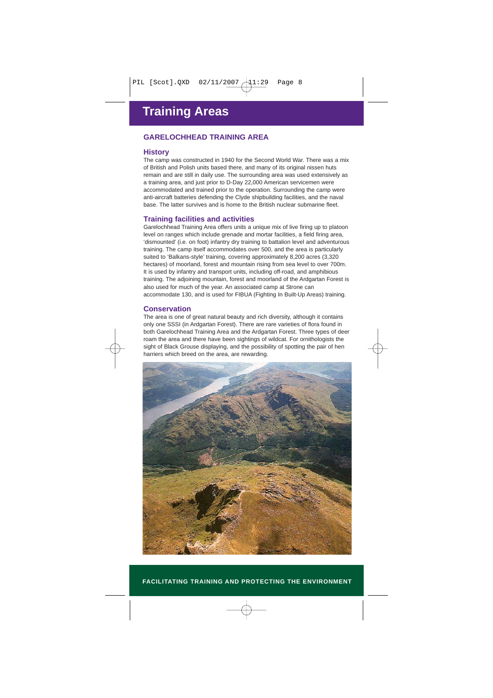### **GARELOCHHEAD TRAINING AREA**

#### **History**

The camp was constructed in 1940 for the Second World War. There was a mix of British and Polish units based there, and many of its original nissen huts remain and are still in daily use. The surrounding area was used extensively as a training area, and just prior to D-Day 22,000 American servicemen were accommodated and trained prior to the operation. Surrounding the camp were anti-aircraft batteries defending the Clyde shipbuilding facilities, and the naval base. The latter survives and is home to the British nuclear submarine fleet.

#### **Training facilities and activities**

Garelochhead Training Area offers units a unique mix of live firing up to platoon level on ranges which include grenade and mortar facilities, a field firing area, 'dismounted' (i.e. on foot) infantry dry training to battalion level and adventurous training. The camp itself accommodates over 500, and the area is particularly suited to 'Balkans-style' training, covering approximately 8,200 acres (3,320 hectares) of moorland, forest and mountain rising from sea level to over 700m. It is used by infantry and transport units, including off-road, and amphibious training. The adjoining mountain, forest and moorland of the Ardgartan Forest is also used for much of the year. An associated camp at Strone can accommodate 130, and is used for FIBUA (Fighting In Built-Up Areas) training.

#### **Conservation**

The area is one of great natural beauty and rich diversity, although it contains only one SSSI (in Ardgartan Forest). There are rare varieties of flora found in both Garelochhead Training Area and the Ardgartan Forest. Three types of deer roam the area and there have been sightings of wildcat. For ornithologists the sight of Black Grouse displaying, and the possibility of spotting the pair of hen harriers which breed on the area, are rewarding.

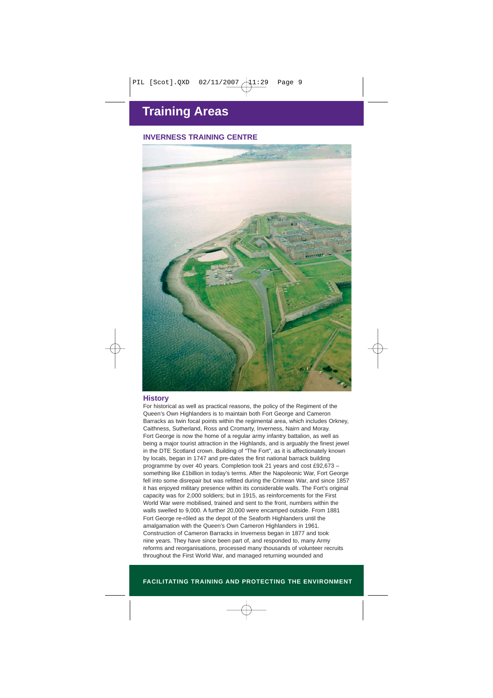# **INVERNESS TRAINING CENTRE**



#### **History**

For historical as well as practical reasons, the policy of the Regiment of the Queen's Own Highlanders is to maintain both Fort George and Cameron Barracks as twin focal points within the regimental area, which includes Orkney, Caithness, Sutherland, Ross and Cromarty, Inverness, Nairn and Moray. Fort George is now the home of a regular army infantry battalion, as well as being a major tourist attraction in the Highlands, and is arguably the finest jewel in the DTE Scotland crown. Building of "The Fort", as it is affectionately known by locals, began in 1747 and pre-dates the first national barrack building programme by over 40 years. Completion took 21 years and cost £92,673 – something like £1billion in today's terms. After the Napoleonic War, Fort George fell into some disrepair but was refitted during the Crimean War, and since 1857 it has enjoyed military presence within its considerable walls. The Fort's original capacity was for 2,000 soldiers; but in 1915, as reinforcements for the First World War were mobilised, trained and sent to the front, numbers within the walls swelled to 9,000. A further 20,000 were encamped outside. From 1881 Fort George re-rôled as the depot of the Seaforth Highlanders until the amalgamation with the Queen's Own Cameron Highlanders in 1961. Construction of Cameron Barracks in Inverness began in 1877 and took nine years. They have since been part of, and responded to, many Army reforms and reorganisations, processed many thousands of volunteer recruits throughout the First World War, and managed returning wounded and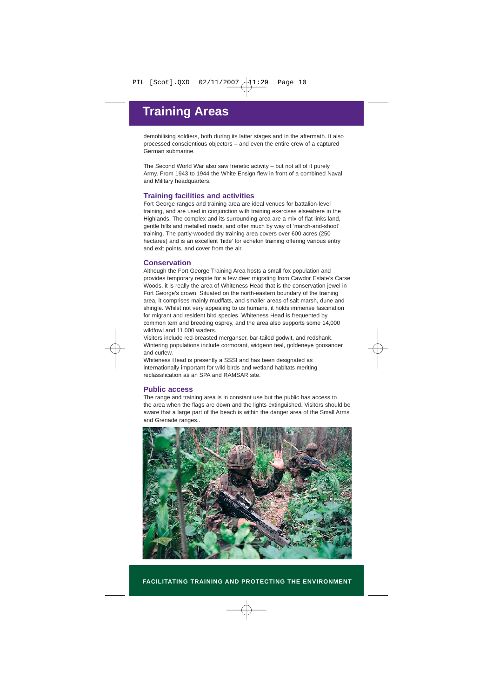demobilising soldiers, both during its latter stages and in the aftermath. It also processed conscientious objectors – and even the entire crew of a captured German submarine.

The Second World War also saw frenetic activity – but not all of it purely Army. From 1943 to 1944 the White Ensign flew in front of a combined Naval and Military headquarters.

#### **Training facilities and activities**

Fort George ranges and training area are ideal venues for battalion-level training, and are used in conjunction with training exercises elsewhere in the Highlands. The complex and its surrounding area are a mix of flat links land, gentle hills and metalled roads, and offer much by way of 'march-and-shoot' training. The partly-wooded dry training area covers over 600 acres (250 hectares) and is an excellent 'hide' for echelon training offering various entry and exit points, and cover from the air.

#### **Conservation**

Although the Fort George Training Area hosts a small fox population and provides temporary respite for a few deer migrating from Cawdor Estate's Carse Woods, it is really the area of Whiteness Head that is the conservation jewel in Fort George's crown. Situated on the north-eastern boundary of the training area, it comprises mainly mudflats, and smaller areas of salt marsh, dune and shingle. Whilst not very appealing to us humans, it holds immense fascination for migrant and resident bird species. Whiteness Head is frequented by common tern and breeding osprey, and the area also supports some 14,000 wildfowl and 11,000 waders.

Visitors include red-breasted merganser, bar-tailed godwit, and redshank. Wintering populations include cormorant, widgeon teal, goldeneye goosander and curlew.

Whiteness Head is presently a SSSI and has been designated as internationally important for wild birds and wetland habitats meriting reclassification as an SPA and RAMSAR site.

#### **Public access**

The range and training area is in constant use but the public has access to the area when the flags are down and the lights extinguished. Visitors should be aware that a large part of the beach is within the danger area of the Small Arms and Grenade ranges..

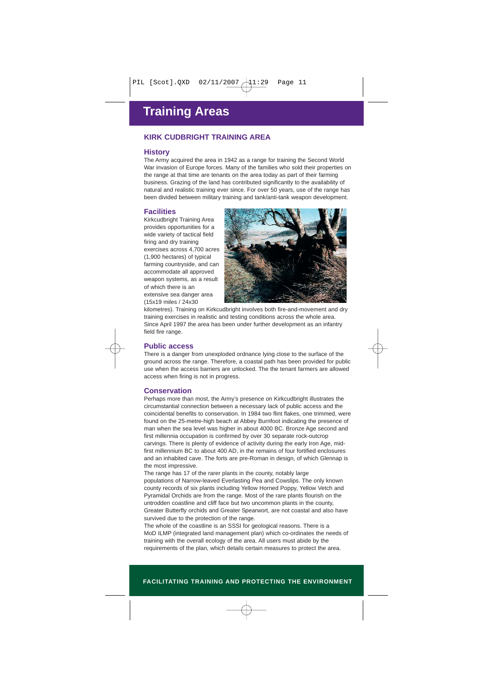### **KIRK CUDBRIGHT TRAINING AREA**

#### **History**

The Army acquired the area in 1942 as a range for training the Second World War invasion of Europe forces. Many of the families who sold their properties on the range at that time are tenants on the area today as part of their farming business. Grazing of the land has contributed significantly to the availability of natural and realistic training ever since. For over 50 years, use of the range has been divided between military training and tank/anti-tank weapon development.

#### **Facilities**

Kirkcudbright Training Area provides opportunities for a wide variety of tactical field firing and dry training exercises across 4,700 acres (1,900 hectares) of typical farming countryside, and can accommodate all approved weapon systems, as a result of which there is an extensive sea danger area (15x19 miles / 24x30



kilometres). Training on Kirkcudbright involves both fire-and-movement and dry training exercises in realistic and testing conditions across the whole area. Since April 1997 the area has been under further development as an infantry field fire range.

#### **Public access**

There is a danger from unexploded ordnance lying close to the surface of the ground across the range. Therefore, a coastal path has been provided for public use when the access barriers are unlocked. The the tenant farmers are allowed access when firing is not in progress.

#### **Conservation**

Perhaps more than most, the Army's presence on Kirkcudbright illustrates the circumstantial connection between a necessary lack of public access and the coincidental benefits to conservation. In 1984 two flint flakes, one trimmed, were found on the 25-metre-high beach at Abbey Burnfoot indicating the presence of man when the sea level was higher in about 4000 BC. Bronze Age second and first millennia occupation is confirmed by over 30 separate rock-outcrop carvings. There is plenty of evidence of activity during the early Iron Age, midfirst millennium BC to about 400 AD, in the remains of four fortified enclosures and an inhabited cave. The forts are pre-Roman in design, of which Glennap is the most impressive.

The range has 17 of the rarer plants in the county, notably large populations of Narrow-leaved Everlasting Pea and Cowslips. The only known county records of six plants including Yellow Horned Poppy, Yellow Vetch and Pyramidal Orchids are from the range. Most of the rare plants flourish on the untrodden coastline and cliff face but two uncommon plants in the county, Greater Butterfly orchids and Greater Spearwort, are not coastal and also have survived due to the protection of the range.

The whole of the coastline is an SSSI for geological reasons. There is a MoD ILMP (integrated land management plan) which co-ordinates the needs of training with the overall ecology of the area. All users must abide by the requirements of the plan, which details certain measures to protect the area.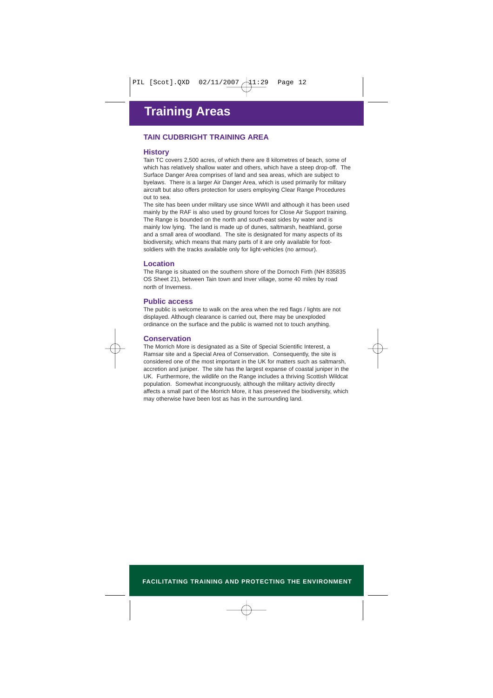### **TAIN CUDBRIGHT TRAINING AREA**

#### **History**

Tain TC covers 2,500 acres, of which there are 8 kilometres of beach, some of which has relatively shallow water and others, which have a steep drop-off. The Surface Danger Area comprises of land and sea areas, which are subject to byelaws. There is a larger Air Danger Area, which is used primarily for military aircraft but also offers protection for users employing Clear Range Procedures out to sea.

The site has been under military use since WWII and although it has been used mainly by the RAF is also used by ground forces for Close Air Support training. The Range is bounded on the north and south-east sides by water and is mainly low lying. The land is made up of dunes, saltmarsh, heathland, gorse and a small area of woodland. The site is designated for many aspects of its biodiversity, which means that many parts of it are only available for footsoldiers with the tracks available only for light-vehicles (no armour).

#### **Location**

The Range is situated on the southern shore of the Dornoch Firth (NH 835835 OS Sheet 21), between Tain town and Inver village, some 40 miles by road north of Inverness.

#### **Public access**

The public is welcome to walk on the area when the red flags / lights are not displayed. Although clearance is carried out, there may be unexploded ordinance on the surface and the public is warned not to touch anything.

#### **Conservation**

The Morrich More is designated as a Site of Special Scientific Interest, a Ramsar site and a Special Area of Conservation. Consequently, the site is considered one of the most important in the UK for matters such as saltmarsh, accretion and juniper. The site has the largest expanse of coastal juniper in the UK. Furthermore, the wildlife on the Range includes a thriving Scottish Wildcat population. Somewhat incongruously, although the military activity directly affects a small part of the Morrich More, it has preserved the biodiversity, which may otherwise have been lost as has in the surrounding land.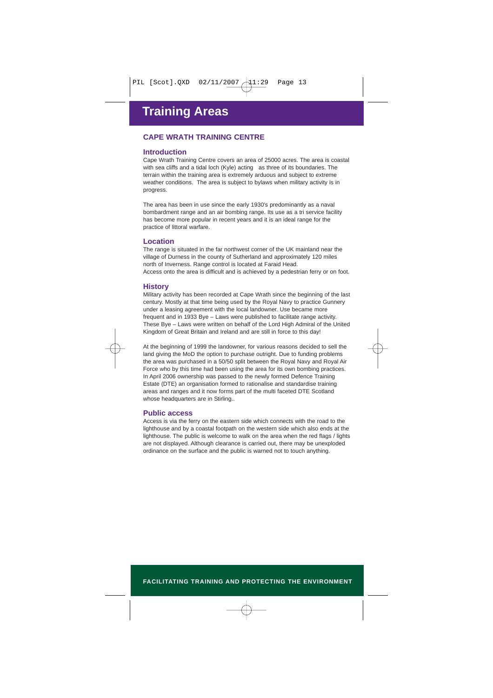# **CAPE WRATH TRAINING CENTRE**

#### **Introduction**

Cape Wrath Training Centre covers an area of 25000 acres. The area is coastal with sea cliffs and a tidal loch (Kyle) acting as three of its boundaries. The terrain within the training area is extremely arduous and subject to extreme weather conditions. The area is subject to bylaws when military activity is in progress.

The area has been in use since the early 1930's predominantly as a naval bombardment range and an air bombing range. Its use as a tri service facility has become more popular in recent years and it is an ideal range for the practice of littoral warfare.

#### **Location**

The range is situated in the far northwest corner of the UK mainland near the village of Durness in the county of Sutherland and approximately 120 miles north of Inverness. Range control is located at Faraid Head. Access onto the area is difficult and is achieved by a pedestrian ferry or on foot.

#### **History**

Military activity has been recorded at Cape Wrath since the beginning of the last century. Mostly at that time being used by the Royal Navy to practice Gunnery under a leasing agreement with the local landowner. Use became more frequent and in 1933 Bye – Laws were published to facilitate range activity. These Bye – Laws were written on behalf of the Lord High Admiral of the United Kingdom of Great Britain and Ireland and are still in force to this day!

At the beginning of 1999 the landowner, for various reasons decided to sell the land giving the MoD the option to purchase outright. Due to funding problems the area was purchased in a 50/50 split between the Royal Navy and Royal Air Force who by this time had been using the area for its own bombing practices. In April 2006 ownership was passed to the newly formed Defence Training Estate (DTE) an organisation formed to rationalise and standardise training areas and ranges and it now forms part of the multi faceted DTE Scotland whose headquarters are in Stirling..

#### **Public access**

Access is via the ferry on the eastern side which connects with the road to the lighthouse and by a coastal footpath on the western side which also ends at the lighthouse. The public is welcome to walk on the area when the red flags / lights are not displayed. Although clearance is carried out, there may be unexploded ordinance on the surface and the public is warned not to touch anything.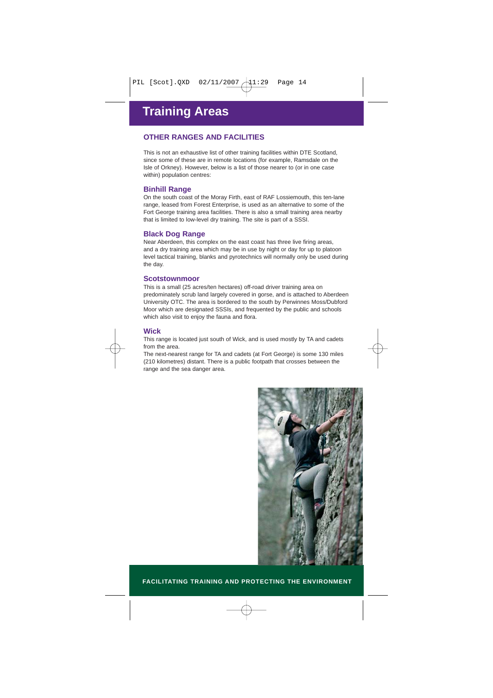# **OTHER RANGES AND FACILITIES**

This is not an exhaustive list of other training facilities within DTE Scotland, since some of these are in remote locations (for example, Ramsdale on the Isle of Orkney). However, below is a list of those nearer to (or in one case within) population centres:

#### **Binhill Range**

On the south coast of the Moray Firth, east of RAF Lossiemouth, this ten-lane range, leased from Forest Enterprise, is used as an alternative to some of the Fort George training area facilities. There is also a small training area nearby that is limited to low-level dry training. The site is part of a SSSI.

#### **Black Dog Range**

Near Aberdeen, this complex on the east coast has three live firing areas, and a dry training area which may be in use by night or day for up to platoon level tactical training, blanks and pyrotechnics will normally only be used during the day.

#### **Scotstownmoor**

This is a small (25 acres/ten hectares) off-road driver training area on predominately scrub land largely covered in gorse, and is attached to Aberdeen University OTC. The area is bordered to the south by Perwinnes Moss/Dubford Moor which are designated SSSIs, and frequented by the public and schools which also visit to enjoy the fauna and flora.

#### **Wick**

This range is located just south of Wick, and is used mostly by TA and cadets from the area.

The next-nearest range for TA and cadets (at Fort George) is some 130 miles (210 kilometres) distant. There is a public footpath that crosses between the range and the sea danger area.